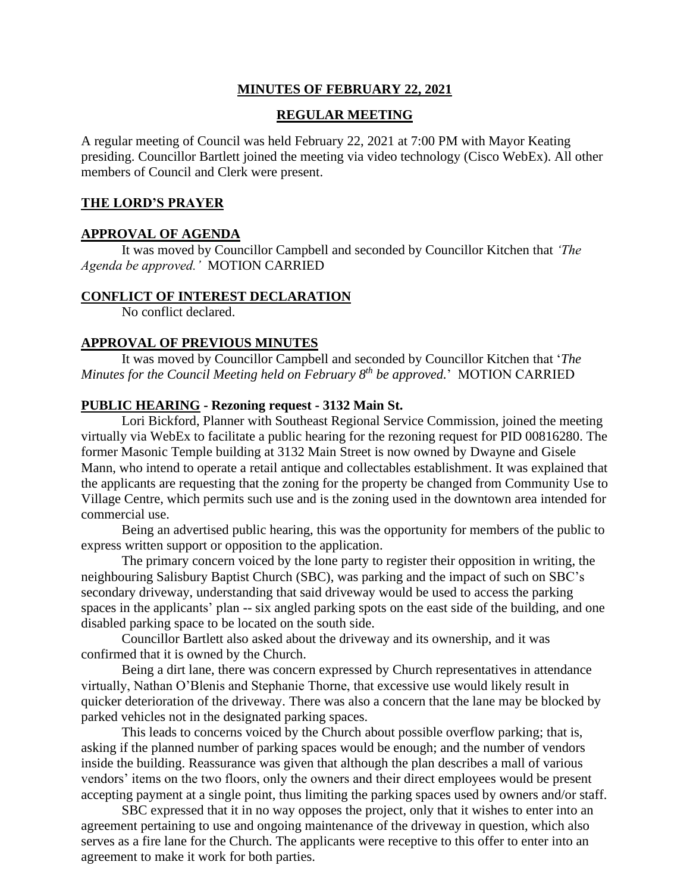#### **MINUTES OF FEBRUARY 22, 2021**

#### **REGULAR MEETING**

A regular meeting of Council was held February 22, 2021 at 7:00 PM with Mayor Keating presiding. Councillor Bartlett joined the meeting via video technology (Cisco WebEx). All other members of Council and Clerk were present.

#### **THE LORD'S PRAYER**

#### **APPROVAL OF AGENDA**

It was moved by Councillor Campbell and seconded by Councillor Kitchen that *'The Agenda be approved.'* MOTION CARRIED

#### **CONFLICT OF INTEREST DECLARATION**

No conflict declared.

#### **APPROVAL OF PREVIOUS MINUTES**

It was moved by Councillor Campbell and seconded by Councillor Kitchen that '*The Minutes for the Council Meeting held on February 8 th be approved.*' MOTION CARRIED

#### **PUBLIC HEARING - Rezoning request - 3132 Main St.**

Lori Bickford, Planner with Southeast Regional Service Commission, joined the meeting virtually via WebEx to facilitate a public hearing for the rezoning request for PID 00816280. The former Masonic Temple building at 3132 Main Street is now owned by Dwayne and Gisele Mann, who intend to operate a retail antique and collectables establishment. It was explained that the applicants are requesting that the zoning for the property be changed from Community Use to Village Centre, which permits such use and is the zoning used in the downtown area intended for commercial use.

Being an advertised public hearing, this was the opportunity for members of the public to express written support or opposition to the application.

The primary concern voiced by the lone party to register their opposition in writing, the neighbouring Salisbury Baptist Church (SBC), was parking and the impact of such on SBC's secondary driveway, understanding that said driveway would be used to access the parking spaces in the applicants' plan -- six angled parking spots on the east side of the building, and one disabled parking space to be located on the south side.

Councillor Bartlett also asked about the driveway and its ownership, and it was confirmed that it is owned by the Church.

Being a dirt lane, there was concern expressed by Church representatives in attendance virtually, Nathan O'Blenis and Stephanie Thorne, that excessive use would likely result in quicker deterioration of the driveway. There was also a concern that the lane may be blocked by parked vehicles not in the designated parking spaces.

This leads to concerns voiced by the Church about possible overflow parking; that is, asking if the planned number of parking spaces would be enough; and the number of vendors inside the building. Reassurance was given that although the plan describes a mall of various vendors' items on the two floors, only the owners and their direct employees would be present accepting payment at a single point, thus limiting the parking spaces used by owners and/or staff.

SBC expressed that it in no way opposes the project, only that it wishes to enter into an agreement pertaining to use and ongoing maintenance of the driveway in question, which also serves as a fire lane for the Church. The applicants were receptive to this offer to enter into an agreement to make it work for both parties.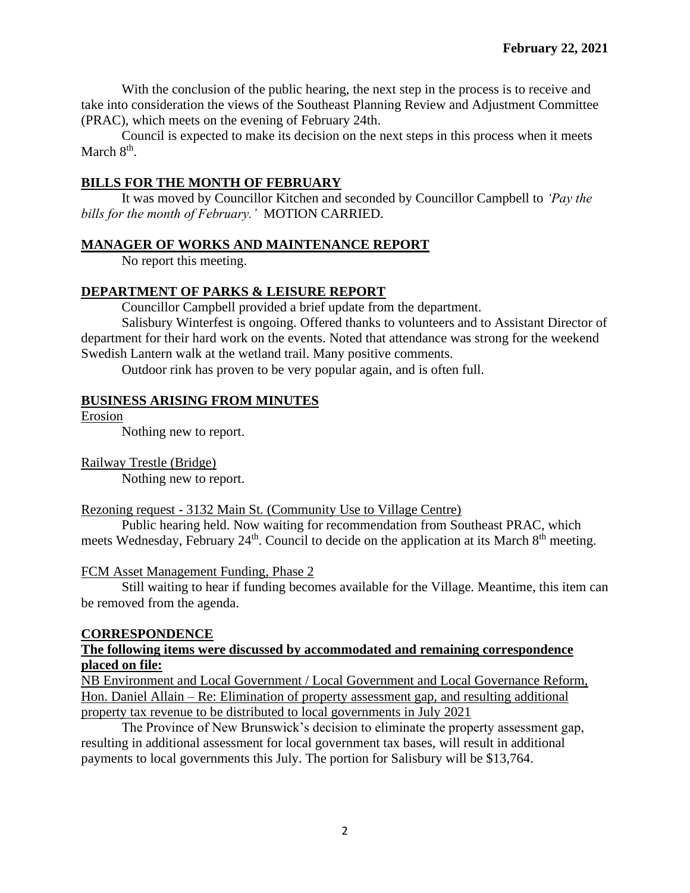With the conclusion of the public hearing, the next step in the process is to receive and take into consideration the views of the Southeast Planning Review and Adjustment Committee (PRAC), which meets on the evening of February 24th.

Council is expected to make its decision on the next steps in this process when it meets March 8<sup>th</sup>.

## **BILLS FOR THE MONTH OF FEBRUARY**

It was moved by Councillor Kitchen and seconded by Councillor Campbell to *'Pay the bills for the month of February.'* MOTION CARRIED.

## **MANAGER OF WORKS AND MAINTENANCE REPORT**

No report this meeting.

# **DEPARTMENT OF PARKS & LEISURE REPORT**

Councillor Campbell provided a brief update from the department.

Salisbury Winterfest is ongoing. Offered thanks to volunteers and to Assistant Director of department for their hard work on the events. Noted that attendance was strong for the weekend Swedish Lantern walk at the wetland trail. Many positive comments.

Outdoor rink has proven to be very popular again, and is often full.

# **BUSINESS ARISING FROM MINUTES**

Erosion

Nothing new to report.

Railway Trestle (Bridge) Nothing new to report.

## Rezoning request - 3132 Main St. (Community Use to Village Centre)

Public hearing held. Now waiting for recommendation from Southeast PRAC, which meets Wednesday, February 24<sup>th</sup>. Council to decide on the application at its March 8<sup>th</sup> meeting.

## FCM Asset Management Funding, Phase 2

Still waiting to hear if funding becomes available for the Village. Meantime, this item can be removed from the agenda.

## **CORRESPONDENCE**

### **The following items were discussed by accommodated and remaining correspondence placed on file:**

NB Environment and Local Government / Local Government and Local Governance Reform, Hon. Daniel Allain – Re: Elimination of property assessment gap, and resulting additional property tax revenue to be distributed to local governments in July 2021

The Province of New Brunswick's decision to eliminate the property assessment gap, resulting in additional assessment for local government tax bases, will result in additional payments to local governments this July. The portion for Salisbury will be \$13,764.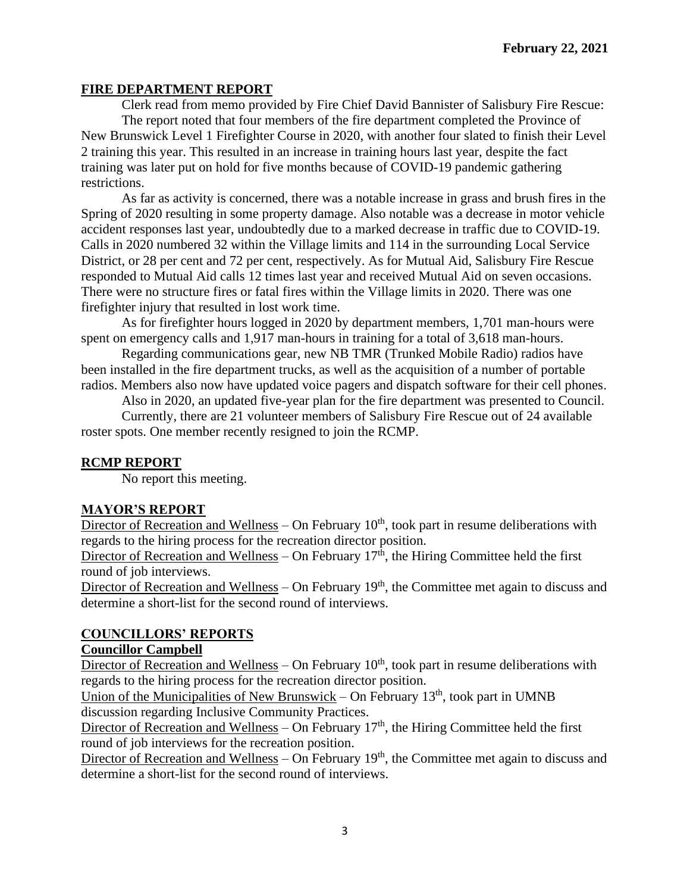### **FIRE DEPARTMENT REPORT**

Clerk read from memo provided by Fire Chief David Bannister of Salisbury Fire Rescue: The report noted that four members of the fire department completed the Province of New Brunswick Level 1 Firefighter Course in 2020, with another four slated to finish their Level 2 training this year. This resulted in an increase in training hours last year, despite the fact training was later put on hold for five months because of COVID-19 pandemic gathering restrictions.

As far as activity is concerned, there was a notable increase in grass and brush fires in the Spring of 2020 resulting in some property damage. Also notable was a decrease in motor vehicle accident responses last year, undoubtedly due to a marked decrease in traffic due to COVID-19. Calls in 2020 numbered 32 within the Village limits and 114 in the surrounding Local Service District, or 28 per cent and 72 per cent, respectively. As for Mutual Aid, Salisbury Fire Rescue responded to Mutual Aid calls 12 times last year and received Mutual Aid on seven occasions. There were no structure fires or fatal fires within the Village limits in 2020. There was one firefighter injury that resulted in lost work time.

As for firefighter hours logged in 2020 by department members, 1,701 man-hours were spent on emergency calls and 1,917 man-hours in training for a total of 3,618 man-hours.

Regarding communications gear, new NB TMR (Trunked Mobile Radio) radios have been installed in the fire department trucks, as well as the acquisition of a number of portable radios. Members also now have updated voice pagers and dispatch software for their cell phones.

Also in 2020, an updated five-year plan for the fire department was presented to Council.

Currently, there are 21 volunteer members of Salisbury Fire Rescue out of 24 available roster spots. One member recently resigned to join the RCMP.

### **RCMP REPORT**

No report this meeting.

### **MAYOR'S REPORT**

Director of Recreation and Wellness – On February  $10<sup>th</sup>$ , took part in resume deliberations with regards to the hiring process for the recreation director position.

Director of Recreation and Wellness – On February  $17<sup>th</sup>$ , the Hiring Committee held the first round of job interviews.

Director of Recreation and Wellness – On February  $19<sup>th</sup>$ , the Committee met again to discuss and determine a short-list for the second round of interviews.

## **COUNCILLORS' REPORTS**

### **Councillor Campbell**

Director of Recreation and Wellness – On February  $10<sup>th</sup>$ , took part in resume deliberations with regards to the hiring process for the recreation director position.

Union of the Municipalities of New Brunswick – On February  $13<sup>th</sup>$ , took part in UMNB discussion regarding Inclusive Community Practices.

Director of Recreation and Wellness – On February  $17<sup>th</sup>$ , the Hiring Committee held the first round of job interviews for the recreation position.

Director of Recreation and Wellness – On February  $19<sup>th</sup>$ , the Committee met again to discuss and determine a short-list for the second round of interviews.